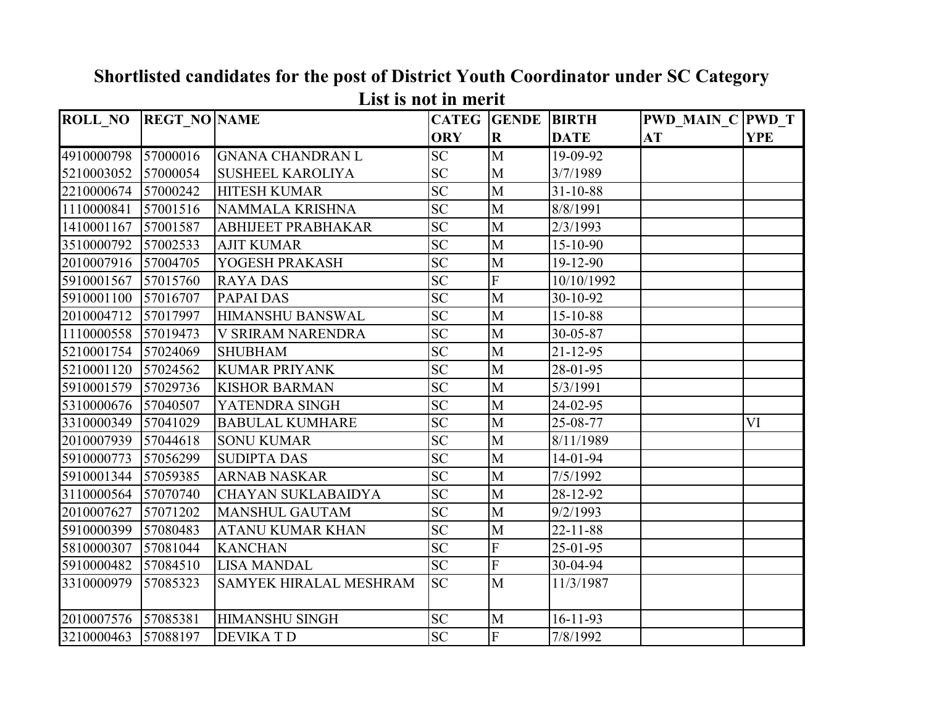| <b>ROLL_NO</b> | <b>REGT NO NAME</b> |                               | <b>CATEG</b>    | <b>GENDE</b>            | <b>BIRTH</b>   | <b>PWD MAIN C PWD T</b> |            |
|----------------|---------------------|-------------------------------|-----------------|-------------------------|----------------|-------------------------|------------|
|                |                     |                               | <b>ORY</b>      | $\mathbf R$             | <b>DATE</b>    | AT                      | <b>YPE</b> |
| 4910000798     | 57000016            | <b>GNANA CHANDRAN L</b>       | $\overline{SC}$ | $\overline{M}$          | 19-09-92       |                         |            |
| 5210003052     | 57000054            | <b>SUSHEEL KAROLIYA</b>       | <b>SC</b>       | M                       | 3/7/1989       |                         |            |
| 2210000674     | 57000242            | <b>HITESH KUMAR</b>           | <b>SC</b>       | M                       | $31 - 10 - 88$ |                         |            |
| 1110000841     | 57001516            | NAMMALA KRISHNA               | <b>SC</b>       | M                       | 8/8/1991       |                         |            |
| 1410001167     | 57001587            | <b>ABHIJEET PRABHAKAR</b>     | <b>SC</b>       | M                       | 2/3/1993       |                         |            |
| 3510000792     | 57002533            | <b>AJIT KUMAR</b>             | <b>SC</b>       | M                       | 15-10-90       |                         |            |
| 2010007916     | 57004705            | YOGESH PRAKASH                | <b>SC</b>       | M                       | 19-12-90       |                         |            |
| 5910001567     | 57015760            | <b>RAYA DAS</b>               | <b>SC</b>       | $\overline{F}$          | 10/10/1992     |                         |            |
| 5910001100     | 57016707            | PAPAI DAS                     | <b>SC</b>       | M                       | 30-10-92       |                         |            |
| 2010004712     | 57017997            | <b>HIMANSHU BANSWAL</b>       | <b>SC</b>       | M                       | 15-10-88       |                         |            |
| 1110000558     | 57019473            | V SRIRAM NARENDRA             | <b>SC</b>       | M                       | 30-05-87       |                         |            |
| 5210001754     | 57024069            | <b>SHUBHAM</b>                | <b>SC</b>       | M                       | $21 - 12 - 95$ |                         |            |
| 5210001120     | 57024562            | <b>KUMAR PRIYANK</b>          | <b>SC</b>       | M                       | 28-01-95       |                         |            |
| 5910001579     | 57029736            | <b>KISHOR BARMAN</b>          | $\overline{SC}$ | M                       | 5/3/1991       |                         |            |
| 5310000676     | 57040507            | YATENDRA SINGH                | <b>SC</b>       | M                       | 24-02-95       |                         |            |
| 3310000349     | 57041029            | <b>BABULAL KUMHARE</b>        | <b>SC</b>       | M                       | 25-08-77       |                         | VI         |
| 2010007939     | 57044618            | <b>SONU KUMAR</b>             | <b>SC</b>       | M                       | 8/11/1989      |                         |            |
| 5910000773     | 57056299            | <b>SUDIPTA DAS</b>            | <b>SC</b>       | M                       | 14-01-94       |                         |            |
| 5910001344     | 57059385            | <b>ARNAB NASKAR</b>           | <b>SC</b>       | M                       | 7/5/1992       |                         |            |
| 3110000564     | 57070740            | <b>CHAYAN SUKLABAIDYA</b>     | <b>SC</b>       | M                       | 28-12-92       |                         |            |
| 2010007627     | 57071202            | <b>MANSHUL GAUTAM</b>         | <b>SC</b>       | M                       | 9/2/1993       |                         |            |
| 5910000399     | 57080483            | <b>ATANU KUMAR KHAN</b>       | <b>SC</b>       | M                       | $22 - 11 - 88$ |                         |            |
| 5810000307     | 57081044            | <b>KANCHAN</b>                | <b>SC</b>       | $\overline{F}$          | 25-01-95       |                         |            |
| 5910000482     | 57084510            | <b>LISA MANDAL</b>            | <b>SC</b>       | $\overline{\mathrm{F}}$ | 30-04-94       |                         |            |
| 3310000979     | 57085323            | <b>SAMYEK HIRALAL MESHRAM</b> | <b>SC</b>       | M                       | 11/3/1987      |                         |            |
| 2010007576     | 57085381            | <b>HIMANSHU SINGH</b>         | <b>SC</b>       | M                       | $16 - 11 - 93$ |                         |            |
| 3210000463     | 57088197            | <b>DEVIKATD</b>               | <b>SC</b>       | $\overline{F}$          | 7/8/1992       |                         |            |

**Shortlisted candidates for the post of District Youth Coordinator under SC Category List is not in merit**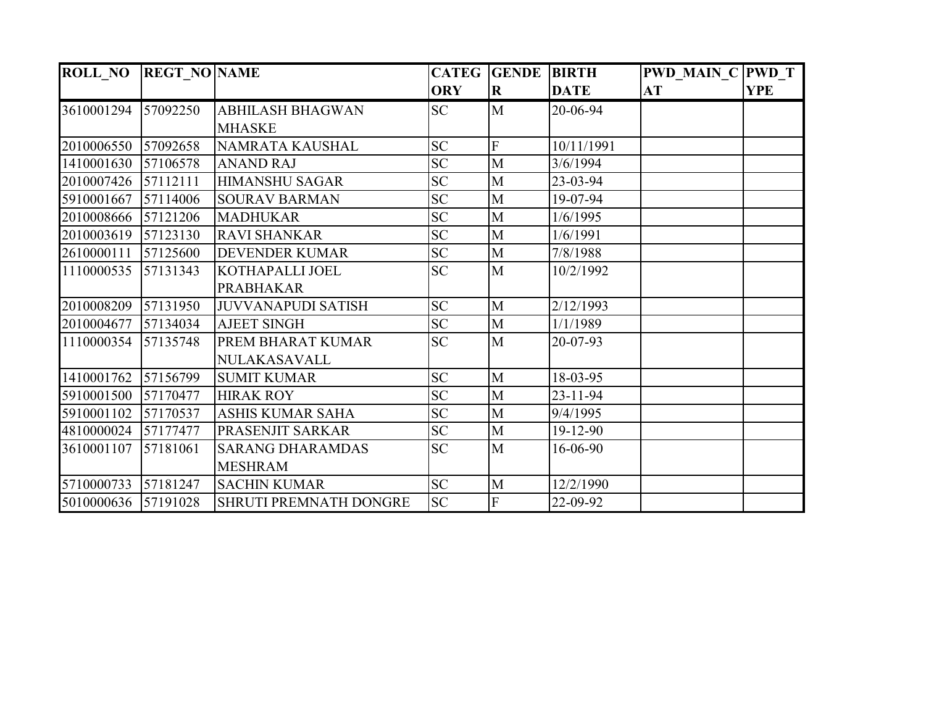| <b>ROLL NO REGT NO NAME</b> |          |                               |            | <b>CATEG GENDE BIRTH</b> |                | <b>PWD MAIN C PWD T</b> |            |
|-----------------------------|----------|-------------------------------|------------|--------------------------|----------------|-------------------------|------------|
|                             |          |                               | <b>ORY</b> | $\mathbf R$              | <b>DATE</b>    | AT                      | <b>YPE</b> |
| 3610001294                  | 57092250 | <b>ABHILASH BHAGWAN</b>       | <b>SC</b>  | $\mathbf{M}$             | 20-06-94       |                         |            |
|                             |          | <b>MHASKE</b>                 |            |                          |                |                         |            |
| 2010006550                  | 57092658 | NAMRATA KAUSHAL               | <b>SC</b>  | F                        | 10/11/1991     |                         |            |
| 1410001630                  | 57106578 | <b>ANAND RAJ</b>              | <b>SC</b>  | M                        | 3/6/1994       |                         |            |
| 2010007426                  | 57112111 | <b>HIMANSHU SAGAR</b>         | <b>SC</b>  | M                        | 23-03-94       |                         |            |
| 5910001667                  | 57114006 | <b>SOURAV BARMAN</b>          | <b>SC</b>  | M                        | 19-07-94       |                         |            |
| 2010008666 57121206         |          | <b>MADHUKAR</b>               | <b>SC</b>  | $\mathbf M$              | 1/6/1995       |                         |            |
|                             |          | <b>RAVI SHANKAR</b>           | <b>SC</b>  | M                        | 1/6/1991       |                         |            |
| 2610000111                  | 57125600 | <b>DEVENDER KUMAR</b>         | <b>SC</b>  | $\mathbf M$              | 7/8/1988       |                         |            |
| 1110000535                  | 57131343 | <b>KOTHAPALLI JOEL</b>        | <b>SC</b>  | $\mathbf{M}$             | 10/2/1992      |                         |            |
|                             |          | <b>PRABHAKAR</b>              |            |                          |                |                         |            |
| 2010008209                  | 57131950 | <b>JUVVANAPUDI SATISH</b>     | <b>SC</b>  | M                        | 2/12/1993      |                         |            |
| 2010004677                  | 57134034 | <b>AJEET SINGH</b>            | <b>SC</b>  | M                        | 1/1/1989       |                         |            |
| 1110000354                  | 57135748 | PREM BHARAT KUMAR             | <b>SC</b>  | M                        | 20-07-93       |                         |            |
|                             |          | NULAKASAVALL                  |            |                          |                |                         |            |
| 1410001762                  | 57156799 | <b>SUMIT KUMAR</b>            | <b>SC</b>  | M                        | 18-03-95       |                         |            |
| 5910001500                  | 57170477 | <b>HIRAK ROY</b>              | <b>SC</b>  | M                        | $23 - 11 - 94$ |                         |            |
| 5910001102                  | 57170537 | <b>ASHIS KUMAR SAHA</b>       | <b>SC</b>  | M                        | 9/4/1995       |                         |            |
| 4810000024                  | 57177477 | PRASENJIT SARKAR              | <b>SC</b>  | M                        | 19-12-90       |                         |            |
| 3610001107                  | 57181061 | <b>SARANG DHARAMDAS</b>       | <b>SC</b>  | M                        | 16-06-90       |                         |            |
|                             |          | <b>MESHRAM</b>                |            |                          |                |                         |            |
| 5710000733                  | 57181247 | <b>SACHIN KUMAR</b>           | SC         | M                        | 12/2/1990      |                         |            |
| 5010000636                  | 57191028 | <b>SHRUTI PREMNATH DONGRE</b> | <b>SC</b>  | $\overline{F}$           | 22-09-92       |                         |            |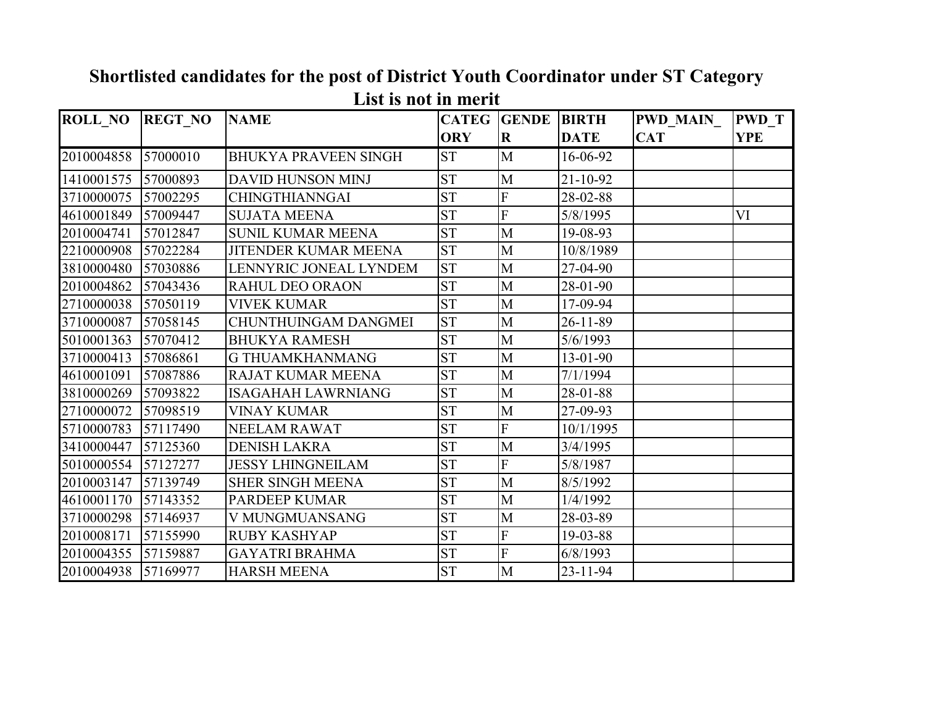| <b>ROLL NO</b> | <b>REGT NO</b> | <b>NAME</b>                 | <b>CATEG</b> | <b>GENDE</b>              | <b>BIRTH</b>   | <b>PWD MAIN_</b> | <b>PWD T</b> |
|----------------|----------------|-----------------------------|--------------|---------------------------|----------------|------------------|--------------|
|                |                |                             | <b>ORY</b>   | $\bf R$                   | <b>DATE</b>    | <b>CAT</b>       | <b>YPE</b>   |
| 2010004858     | 57000010       | <b>BHUKYA PRAVEEN SINGH</b> | <b>ST</b>    | M                         | 16-06-92       |                  |              |
| 1410001575     | 57000893       | <b>DAVID HUNSON MINJ</b>    | <b>ST</b>    | M                         | $21 - 10 - 92$ |                  |              |
| 3710000075     | 57002295       | <b>CHINGTHIANNGAI</b>       | <b>ST</b>    | ${\bf F}$                 | 28-02-88       |                  |              |
| 4610001849     | 57009447       | <b>SUJATA MEENA</b>         | <b>ST</b>    | $\overline{F}$            | 5/8/1995       |                  | VI           |
| 2010004741     | 57012847       | <b>SUNIL KUMAR MEENA</b>    | <b>ST</b>    | M                         | 19-08-93       |                  |              |
| 2210000908     | 57022284       | <b>JITENDER KUMAR MEENA</b> | <b>ST</b>    | $\mathbf{M}$              | 10/8/1989      |                  |              |
| 3810000480     | 57030886       | LENNYRIC JONEAL LYNDEM      | <b>ST</b>    | M                         | 27-04-90       |                  |              |
| 2010004862     | 57043436       | <b>RAHUL DEO ORAON</b>      | <b>ST</b>    | M                         | 28-01-90       |                  |              |
| 2710000038     | 57050119       | <b>VIVEK KUMAR</b>          | <b>ST</b>    | M                         | 17-09-94       |                  |              |
| 3710000087     | 57058145       | <b>CHUNTHUINGAM DANGMEI</b> | <b>ST</b>    | M                         | $26 - 11 - 89$ |                  |              |
| 5010001363     | 57070412       | <b>BHUKYA RAMESH</b>        | <b>ST</b>    | M                         | 5/6/1993       |                  |              |
| 3710000413     | 57086861       | <b>G THUAMKHANMANG</b>      | <b>ST</b>    | M                         | 13-01-90       |                  |              |
| 4610001091     | 57087886       | <b>RAJAT KUMAR MEENA</b>    | <b>ST</b>    | M                         | 7/1/1994       |                  |              |
| 3810000269     | 57093822       | <b>ISAGAHAH LAWRNIANG</b>   | <b>ST</b>    | M                         | 28-01-88       |                  |              |
| 2710000072     | 57098519       | <b>VINAY KUMAR</b>          | <b>ST</b>    | M                         | 27-09-93       |                  |              |
| 5710000783     | 57117490       | <b>NEELAM RAWAT</b>         | <b>ST</b>    | $\boldsymbol{\mathrm{F}}$ | 10/1/1995      |                  |              |
| 3410000447     | 57125360       | <b>DENISH LAKRA</b>         | <b>ST</b>    | M                         | 3/4/1995       |                  |              |
| 5010000554     | 57127277       | <b>JESSY LHINGNEILAM</b>    | <b>ST</b>    | ${\bf F}$                 | 5/8/1987       |                  |              |
| 2010003147     | 57139749       | <b>SHER SINGH MEENA</b>     | <b>ST</b>    | $\mathbf{M}$              | 8/5/1992       |                  |              |
| 4610001170     | 57143352       | <b>PARDEEP KUMAR</b>        | <b>ST</b>    | M                         | 1/4/1992       |                  |              |
| 3710000298     | 57146937       | V MUNGMUANSANG              | <b>ST</b>    | M                         | 28-03-89       |                  |              |
| 2010008171     | 57155990       | <b>RUBY KASHYAP</b>         | <b>ST</b>    | $\overline{F}$            | 19-03-88       |                  |              |
| 2010004355     | 57159887       | <b>GAYATRI BRAHMA</b>       | <b>ST</b>    | $\overline{F}$            | 6/8/1993       |                  |              |
| 2010004938     | 57169977       | <b>HARSH MEENA</b>          | <b>ST</b>    | M                         | $23 - 11 - 94$ |                  |              |

**Shortlisted candidates for the post of District Youth Coordinator under ST Category List is not in merit**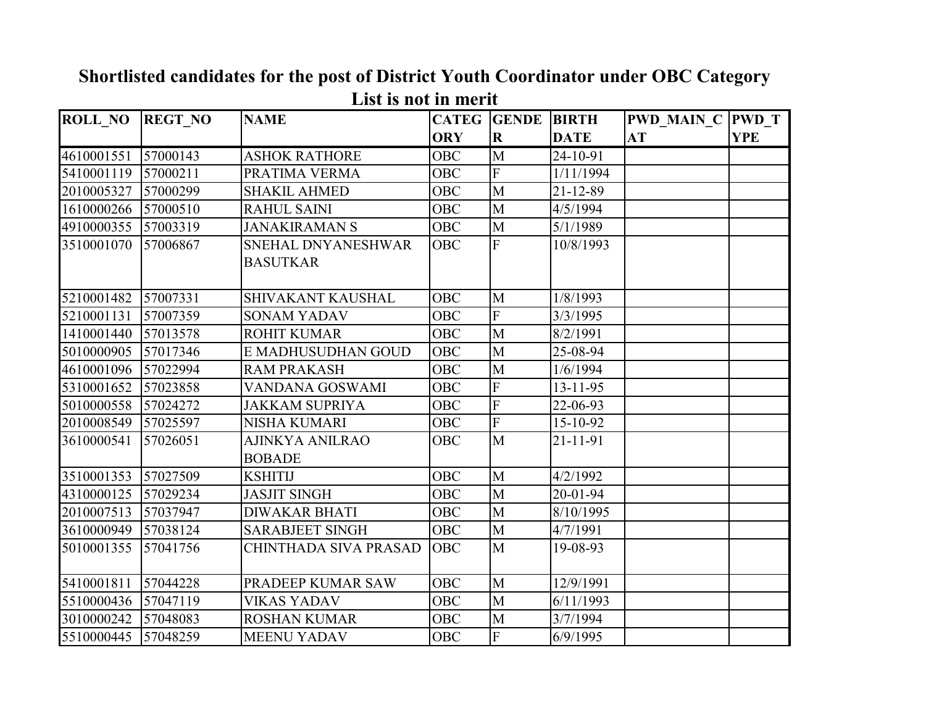|                |                | <b>NAME</b>            |            | <b>CATEG</b> GENDE | <b>BIRTH</b>   |                               |            |
|----------------|----------------|------------------------|------------|--------------------|----------------|-------------------------------|------------|
| <b>ROLL NO</b> | <b>REGT NO</b> |                        | <b>ORY</b> | $\mathbf R$        | <b>DATE</b>    | <b>PWD MAIN C PWD T</b><br>AT | <b>YPE</b> |
|                |                |                        |            |                    |                |                               |            |
| 4610001551     | 57000143       | <b>ASHOK RATHORE</b>   | <b>OBC</b> | M                  | 24-10-91       |                               |            |
| 5410001119     | 57000211       | PRATIMA VERMA          | OBC        | F                  | 1/11/1994      |                               |            |
| 2010005327     | 57000299       | <b>SHAKIL AHMED</b>    | OBC        | $\mathbf{M}$       | 21-12-89       |                               |            |
| 1610000266     | 57000510       | <b>RAHUL SAINI</b>     | OBC        | M                  | 4/5/1994       |                               |            |
| 4910000355     | 57003319       | <b>JANAKIRAMAN S</b>   | OBC        | M                  | 5/1/1989       |                               |            |
| 3510001070     | 57006867       | SNEHAL DNYANESHWAR     | OBC        | F                  | 10/8/1993      |                               |            |
|                |                | <b>BASUTKAR</b>        |            |                    |                |                               |            |
|                |                |                        |            |                    |                |                               |            |
| 5210001482     | 57007331       | SHIVAKANT KAUSHAL      | <b>OBC</b> | M                  | 1/8/1993       |                               |            |
| 5210001131     | 57007359       | <b>SONAM YADAV</b>     | <b>OBC</b> | F                  | 3/3/1995       |                               |            |
| 1410001440     | 57013578       | <b>ROHIT KUMAR</b>     | <b>OBC</b> | M                  | 8/2/1991       |                               |            |
| 5010000905     | 57017346       | E MADHUSUDHAN GOUD     | <b>OBC</b> | $\mathbf{M}$       | 25-08-94       |                               |            |
| 4610001096     | 57022994       | <b>RAM PRAKASH</b>     | <b>OBC</b> | M                  | 1/6/1994       |                               |            |
| 5310001652     | 57023858       | VANDANA GOSWAMI        | <b>OBC</b> | F                  | $13 - 11 - 95$ |                               |            |
| 5010000558     | 57024272       | JAKKAM SUPRIYA         | OBC        | F                  | 22-06-93       |                               |            |
| 2010008549     | 57025597       | <b>NISHA KUMARI</b>    | OBC        | F                  | 15-10-92       |                               |            |
| 3610000541     | 57026051       | AJINKYA ANILRAO        | OBC        | M                  | 21-11-91       |                               |            |
|                |                | <b>BOBADE</b>          |            |                    |                |                               |            |
| 3510001353     | 57027509       | <b>KSHITIJ</b>         | OBC        | M                  | 4/2/1992       |                               |            |
| 4310000125     | 57029234       | <b>JASJIT SINGH</b>    | OBC        | $\mathbf{M}$       | $20 - 01 - 94$ |                               |            |
| 2010007513     | 57037947       | <b>DIWAKAR BHATI</b>   | <b>OBC</b> | M                  | 8/10/1995      |                               |            |
| 3610000949     | 57038124       | <b>SARABJEET SINGH</b> | <b>OBC</b> | M                  | 4/7/1991       |                               |            |
| 5010001355     | 57041756       | CHINTHADA SIVA PRASAD  | <b>OBC</b> | M                  | 19-08-93       |                               |            |
|                |                |                        |            |                    |                |                               |            |
| 5410001811     | 57044228       | PRADEEP KUMAR SAW      | OBC        | M                  | 12/9/1991      |                               |            |
| 5510000436     | 57047119       | <b>VIKAS YADAV</b>     | OBC        | M                  | 6/11/1993      |                               |            |
| 3010000242     | 57048083       | <b>ROSHAN KUMAR</b>    | OBC        | $\mathbf{M}$       | 3/7/1994       |                               |            |
| 5510000445     | 57048259       | <b>MEENU YADAV</b>     | <b>OBC</b> | F                  | 6/9/1995       |                               |            |

## **Shortlisted candidates for the post of District Youth Coordinator under OBC Category List is not in merit**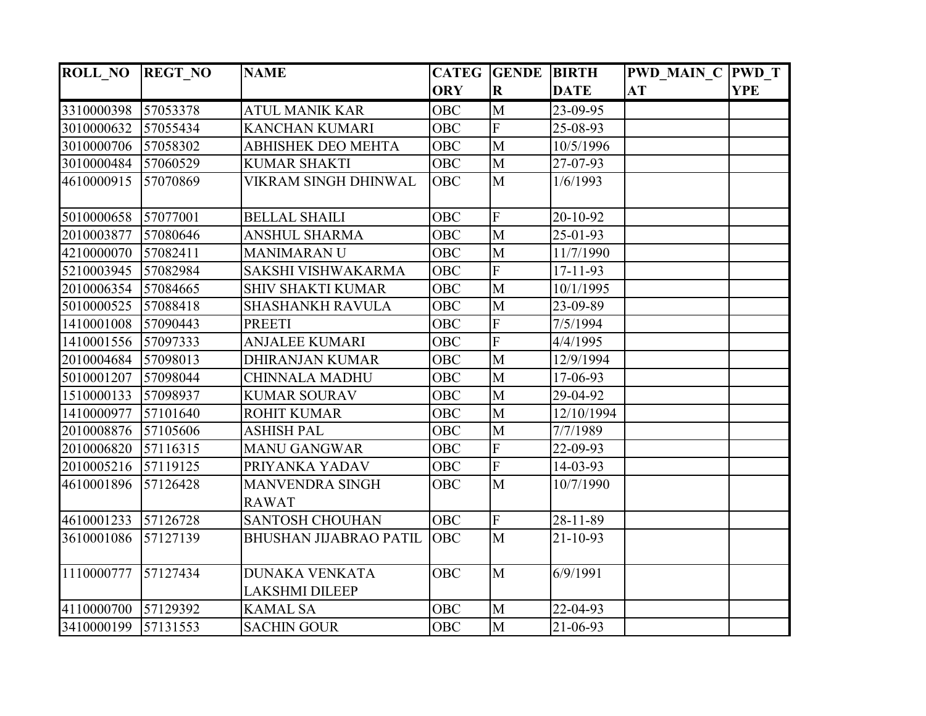| <b>ROLL_NO</b> | <b>REGT NO</b> | <b>NAME</b>                                    |            | <b>CATEG GENDE BIRTH</b> |                | <b>PWD_MAIN_C PWD_T</b> |            |
|----------------|----------------|------------------------------------------------|------------|--------------------------|----------------|-------------------------|------------|
|                |                |                                                | <b>ORY</b> | $\mathbf R$              | <b>DATE</b>    | <b>AT</b>               | <b>YPE</b> |
| 3310000398     | 57053378       | ATUL MANIK KAR                                 | <b>OBC</b> | M                        | 23-09-95       |                         |            |
| 3010000632     | 57055434       | <b>KANCHAN KUMARI</b>                          | <b>OBC</b> | $\overline{F}$           | 25-08-93       |                         |            |
| 3010000706     | 57058302       | <b>ABHISHEK DEO MEHTA</b>                      | <b>OBC</b> | M                        | 10/5/1996      |                         |            |
| 3010000484     | 57060529       | <b>KUMAR SHAKTI</b>                            | <b>OBC</b> | M                        | 27-07-93       |                         |            |
| 4610000915     | 57070869       | <b>VIKRAM SINGH DHINWAL</b>                    | <b>OBC</b> | M                        | 1/6/1993       |                         |            |
| 5010000658     | 57077001       | <b>BELLAL SHAILI</b>                           | <b>OBC</b> | ${\bf F}$                | 20-10-92       |                         |            |
| 2010003877     | 57080646       | <b>ANSHUL SHARMA</b>                           | <b>OBC</b> | M                        | 25-01-93       |                         |            |
| 4210000070     | 57082411       | <b>MANIMARANU</b>                              | <b>OBC</b> | M                        | 11/7/1990      |                         |            |
| 5210003945     | 57082984       | SAKSHI VISHWAKARMA                             | <b>OBC</b> | $\mathbf{F}$             | $17 - 11 - 93$ |                         |            |
| 2010006354     | 57084665       | <b>SHIV SHAKTI KUMAR</b>                       | <b>OBC</b> | M                        | 10/1/1995      |                         |            |
| 5010000525     | 57088418       | <b>SHASHANKH RAVULA</b>                        | <b>OBC</b> | M                        | 23-09-89       |                         |            |
| 1410001008     | 57090443       | <b>PREETI</b>                                  | <b>OBC</b> | ${\bf F}$                | 7/5/1994       |                         |            |
| 1410001556     | 57097333       | <b>ANJALEE KUMARI</b>                          | <b>OBC</b> | $\overline{F}$           | 4/4/1995       |                         |            |
| 2010004684     | 57098013       | <b>DHIRANJAN KUMAR</b>                         | <b>OBC</b> | $\overline{M}$           | 12/9/1994      |                         |            |
| 5010001207     | 57098044       | CHINNALA MADHU                                 | <b>OBC</b> | M                        | 17-06-93       |                         |            |
| 1510000133     | 57098937       | <b>KUMAR SOURAV</b>                            | <b>OBC</b> | M                        | 29-04-92       |                         |            |
| 1410000977     | 57101640       | <b>ROHIT KUMAR</b>                             | <b>OBC</b> | M                        | 12/10/1994     |                         |            |
| 2010008876     | 57105606       | <b>ASHISH PAL</b>                              | <b>OBC</b> | M                        | 7/7/1989       |                         |            |
| 2010006820     | 57116315       | <b>MANU GANGWAR</b>                            | <b>OBC</b> | ${\bf F}$                | 22-09-93       |                         |            |
| 2010005216     | 57119125       | PRIYANKA YADAV                                 | <b>OBC</b> | $\overline{F}$           | 14-03-93       |                         |            |
| 4610001896     | 57126428       | <b>MANVENDRA SINGH</b><br><b>RAWAT</b>         | <b>OBC</b> | M                        | 10/7/1990      |                         |            |
| 4610001233     | 57126728       | <b>SANTOSH CHOUHAN</b>                         | <b>OBC</b> | F                        | 28-11-89       |                         |            |
| 3610001086     | 57127139       | <b>BHUSHAN JIJABRAO PATIL</b>                  | <b>OBC</b> | M                        | $21 - 10 - 93$ |                         |            |
| 1110000777     | 57127434       | <b>DUNAKA VENKATA</b><br><b>LAKSHMI DILEEP</b> | <b>OBC</b> | $\mathbf{M}$             | 6/9/1991       |                         |            |
| 4110000700     | 57129392       | <b>KAMAL SA</b>                                | <b>OBC</b> | M                        | 22-04-93       |                         |            |
| 3410000199     | 57131553       | <b>SACHIN GOUR</b>                             | OBC        | M                        | 21-06-93       |                         |            |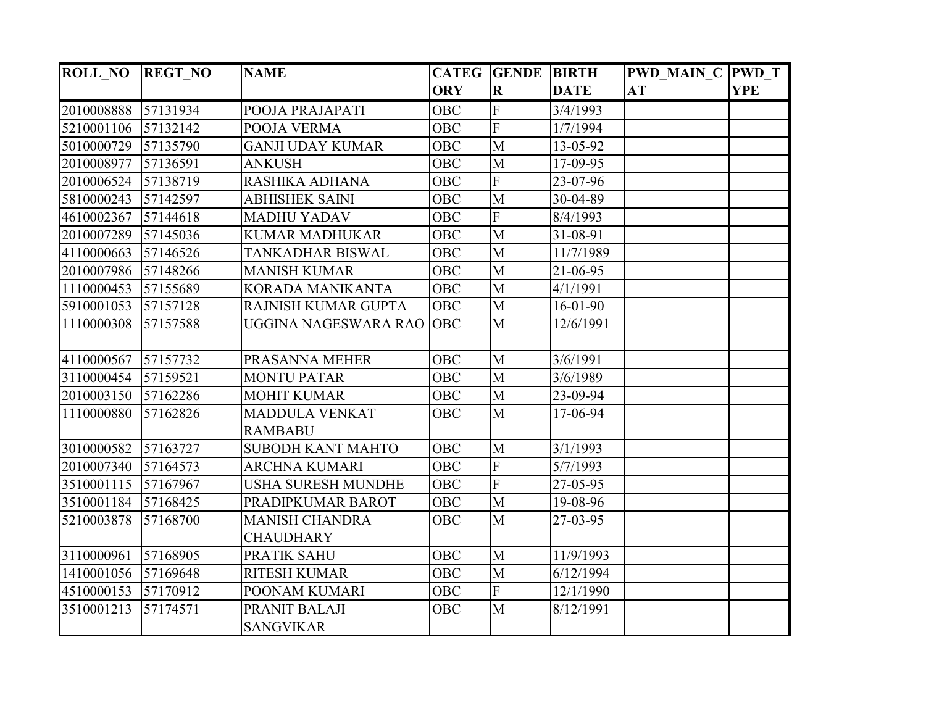| <b>ROLL NO</b> | <b>REGT NO</b> | <b>NAME</b>                               |            | <b>CATEG GENDE BIRTH</b> |                | <b>PWD MAIN C PWD T</b> |            |
|----------------|----------------|-------------------------------------------|------------|--------------------------|----------------|-------------------------|------------|
|                |                |                                           | <b>ORY</b> | $\overline{\mathbf{R}}$  | <b>DATE</b>    | AT                      | <b>YPE</b> |
| 2010008888     | 57131934       | POOJA PRAJAPATI                           | <b>OBC</b> | $\boldsymbol{F}$         | 3/4/1993       |                         |            |
| 5210001106     | 57132142       | POOJA VERMA                               | <b>OBC</b> | $\overline{F}$           | 1/7/1994       |                         |            |
| 5010000729     | 57135790       | <b>GANJI UDAY KUMAR</b>                   | <b>OBC</b> | M                        | 13-05-92       |                         |            |
| 2010008977     | 57136591       | <b>ANKUSH</b>                             | <b>OBC</b> | M                        | 17-09-95       |                         |            |
| 2010006524     | 57138719       | RASHIKA ADHANA                            | <b>OBC</b> | $\overline{F}$           | 23-07-96       |                         |            |
| 5810000243     | 57142597       | <b>ABHISHEK SAINI</b>                     | OBC        | M                        | 30-04-89       |                         |            |
| 4610002367     | 57144618       | <b>MADHU YADAV</b>                        | <b>OBC</b> | ${\bf F}$                | 8/4/1993       |                         |            |
| 2010007289     | 57145036       | <b>KUMAR MADHUKAR</b>                     | <b>OBC</b> | M                        | 31-08-91       |                         |            |
| 4110000663     | 57146526       | TANKADHAR BISWAL                          | <b>OBC</b> | M                        | 11/7/1989      |                         |            |
| 2010007986     | 57148266       | <b>MANISH KUMAR</b>                       | <b>OBC</b> | M                        | 21-06-95       |                         |            |
| 1110000453     | 57155689       | <b>KORADA MANIKANTA</b>                   | <b>OBC</b> | M                        | 4/1/1991       |                         |            |
| 5910001053     | 57157128       | RAJNISH KUMAR GUPTA                       | <b>OBC</b> | M                        | $16 - 01 - 90$ |                         |            |
| 1110000308     | 57157588       | UGGINA NAGESWARA RAO                      | <b>OBC</b> | M                        | 12/6/1991      |                         |            |
| 4110000567     | 57157732       | PRASANNA MEHER                            | <b>OBC</b> | M                        | 3/6/1991       |                         |            |
| 3110000454     | 57159521       | <b>MONTU PATAR</b>                        | <b>OBC</b> | M                        | 3/6/1989       |                         |            |
| 2010003150     | 57162286       | <b>MOHIT KUMAR</b>                        | <b>OBC</b> | M                        | 23-09-94       |                         |            |
| 1110000880     | 57162826       | <b>MADDULA VENKAT</b><br><b>RAMBABU</b>   | <b>OBC</b> | M                        | 17-06-94       |                         |            |
| 3010000582     | 57163727       | <b>SUBODH KANT MAHTO</b>                  | <b>OBC</b> | M                        | 3/1/1993       |                         |            |
| 2010007340     | 57164573       | <b>ARCHNA KUMARI</b>                      | <b>OBC</b> | $\overline{F}$           | 5/7/1993       |                         |            |
| 3510001115     | 57167967       | USHA SURESH MUNDHE                        | <b>OBC</b> | $\overline{F}$           | 27-05-95       |                         |            |
| 3510001184     | 57168425       | PRADIPKUMAR BAROT                         | OBC        | M                        | 19-08-96       |                         |            |
| 5210003878     | 57168700       | <b>MANISH CHANDRA</b><br><b>CHAUDHARY</b> | <b>OBC</b> | M                        | 27-03-95       |                         |            |
| 3110000961     | 57168905       | <b>PRATIK SAHU</b>                        | OBC        | M                        | 11/9/1993      |                         |            |
| 1410001056     | 57169648       | <b>RITESH KUMAR</b>                       | <b>OBC</b> | $\mathbf{M}$             | 6/12/1994      |                         |            |
| 4510000153     | 57170912       | POONAM KUMARI                             | <b>OBC</b> | ${\bf F}$                | 12/1/1990      |                         |            |
| 3510001213     | 57174571       | PRANIT BALAJI                             | <b>OBC</b> | $\mathbf{M}$             | 8/12/1991      |                         |            |
|                |                | <b>SANGVIKAR</b>                          |            |                          |                |                         |            |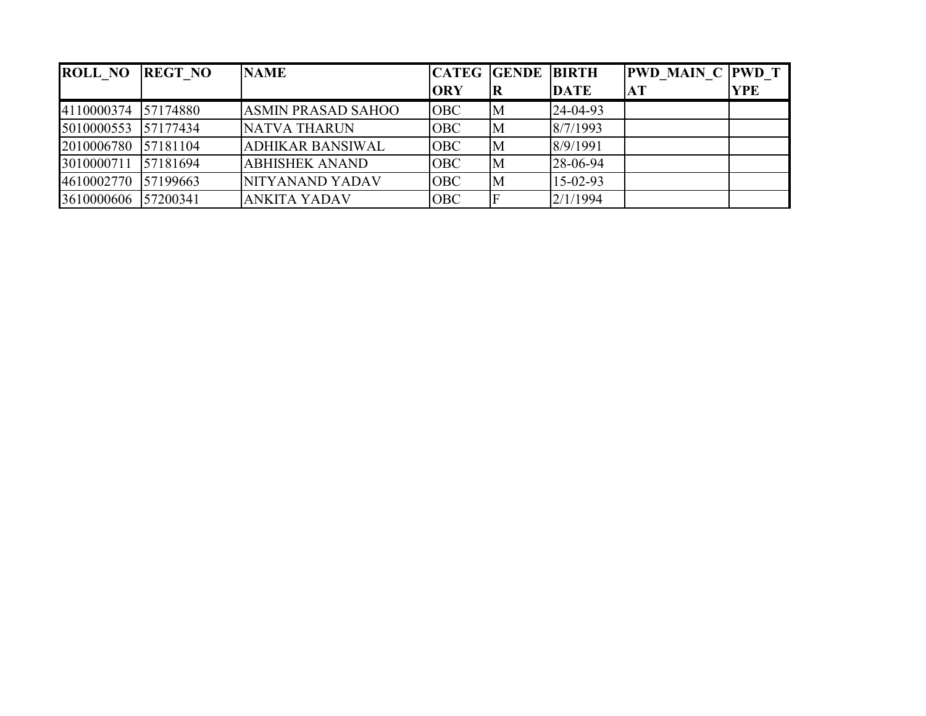| <b>ROLL NO</b>      | <b>REGT NO</b> | <b>NAME</b>               |            | <b>CATEG GENDE BIRTH</b> |             | <b>PWD MAIN C PWD T</b> |            |
|---------------------|----------------|---------------------------|------------|--------------------------|-------------|-------------------------|------------|
|                     |                |                           | <b>ORY</b> | IК                       | <b>DATE</b> | AT                      | <b>YPE</b> |
| 4110000374          | 57174880       | <b>ASMIN PRASAD SAHOO</b> | <b>OBC</b> | M                        | 24-04-93    |                         |            |
| 5010000553          | 57177434       | <b>NATVA THARUN</b>       | <b>OBC</b> | M                        | 8/7/1993    |                         |            |
| 2010006780 57181104 |                | <b>ADHIKAR BANSIWAL</b>   | <b>OBC</b> | M                        | 8/9/1991    |                         |            |
| 3010000711          | 57181694       | <b>ABHISHEK ANAND</b>     | <b>OBC</b> | M                        | 28-06-94    |                         |            |
| 4610002770          | 57199663       | NITYANAND YADAV           | <b>OBC</b> | M                        | $15-02-93$  |                         |            |
| 3610000606          | 57200341       | <b>ANKITA YADAV</b>       | <b>OBC</b> |                          | 2/1/1994    |                         |            |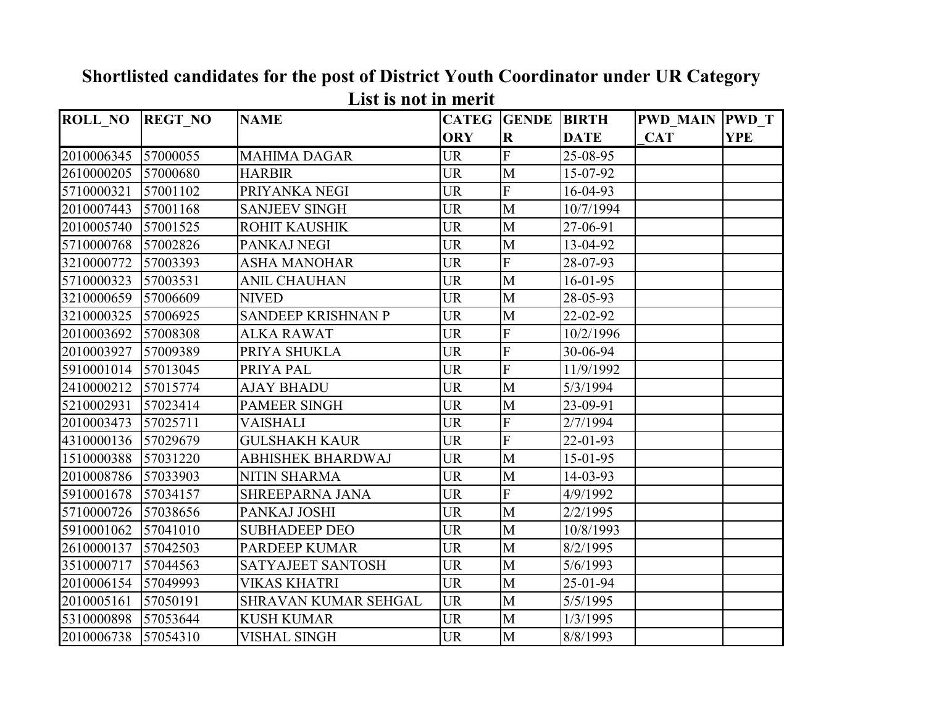| <b>ROLL_NO</b> | <b>REGT NO</b> | <b>NAME</b>               | <b>CATEG</b> | <b>GENDE</b> | <b>BIRTH</b>        | <b>PWD_MAIN PWD_T</b> |            |
|----------------|----------------|---------------------------|--------------|--------------|---------------------|-----------------------|------------|
|                |                |                           | <b>ORY</b>   | $\mathbf R$  | <b>DATE</b>         | <b>CAT</b>            | <b>YPE</b> |
| 2010006345     | 57000055       | <b>MAHIMA DAGAR</b>       | <b>UR</b>    | F            | 25-08-95            |                       |            |
| 2610000205     | 57000680       | <b>HARBIR</b>             | <b>UR</b>    | M            | 15-07-92            |                       |            |
| 5710000321     | 57001102       | PRIYANKA NEGI             | <b>UR</b>    | F            | 16-04-93            |                       |            |
| 2010007443     | 57001168       | <b>SANJEEV SINGH</b>      | <b>UR</b>    | M            | 10/7/1994           |                       |            |
| 2010005740     | 57001525       | <b>ROHIT KAUSHIK</b>      | <b>UR</b>    | M            | 27-06-91            |                       |            |
| 5710000768     | 57002826       | PANKAJ NEGI               | <b>UR</b>    | M            | 13-04-92            |                       |            |
| 3210000772     | 57003393       | <b>ASHA MANOHAR</b>       | <b>UR</b>    | F            | 28-07-93            |                       |            |
| 5710000323     | 57003531       | <b>ANIL CHAUHAN</b>       | <b>UR</b>    | M            | 16-01-95            |                       |            |
| 3210000659     | 57006609       | <b>NIVED</b>              | <b>UR</b>    | $\mathbf{M}$ | 28-05-93            |                       |            |
| 3210000325     | 57006925       | <b>SANDEEP KRISHNAN P</b> | <b>UR</b>    | M            | 22-02-92            |                       |            |
| 2010003692     | 57008308       | <b>ALKA RAWAT</b>         | <b>UR</b>    | F            | $\frac{10}{2}/1996$ |                       |            |
| 2010003927     | 57009389       | PRIYA SHUKLA              | <b>UR</b>    | F            | 30-06-94            |                       |            |
| 5910001014     | 57013045       | PRIYA PAL                 | <b>UR</b>    | F            | 11/9/1992           |                       |            |
| 2410000212     | 57015774       | <b>AJAY BHADU</b>         | <b>UR</b>    | M            | 5/3/1994            |                       |            |
| 5210002931     | 57023414       | <b>PAMEER SINGH</b>       | <b>UR</b>    | M            | 23-09-91            |                       |            |
| 2010003473     | 57025711       | VAISHALI                  | <b>UR</b>    | F            | 2/7/1994            |                       |            |
| 4310000136     | 57029679       | <b>GULSHAKH KAUR</b>      | <b>UR</b>    | F            | 22-01-93            |                       |            |
| 1510000388     | 57031220       | ABHISHEK BHARDWAJ         | <b>UR</b>    | M            | $15 - 01 - 95$      |                       |            |
| 2010008786     | 57033903       | <b>NITIN SHARMA</b>       | <b>UR</b>    | M            | 14-03-93            |                       |            |
| 5910001678     | 57034157       | <b>SHREEPARNA JANA</b>    | <b>UR</b>    | F            | 4/9/1992            |                       |            |
| 5710000726     | 57038656       | PANKAJ JOSHI              | <b>UR</b>    | M            | 2/2/1995            |                       |            |
| 5910001062     | 57041010       | <b>SUBHADEEP DEO</b>      | <b>UR</b>    | M            | 10/8/1993           |                       |            |
| 2610000137     | 57042503       | <b>PARDEEP KUMAR</b>      | <b>UR</b>    | M            | 8/2/1995            |                       |            |
| 3510000717     | 57044563       | <b>SATYAJEET SANTOSH</b>  | <b>UR</b>    | $\mathbf{M}$ | 5/6/1993            |                       |            |
| 2010006154     | 57049993       | <b>VIKAS KHATRI</b>       | <b>UR</b>    | M            | 25-01-94            |                       |            |
| 2010005161     | 57050191       | SHRAVAN KUMAR SEHGAL      | <b>UR</b>    | M            | 5/5/1995            |                       |            |
| 5310000898     | 57053644       | <b>KUSH KUMAR</b>         | <b>UR</b>    | M            | 1/3/1995            |                       |            |
| 2010006738     | 57054310       | <b>VISHAL SINGH</b>       | <b>UR</b>    | M            | 8/8/1993            |                       |            |

## **Shortlisted candidates for the post of District Youth Coordinator under UR Category List is not in merit**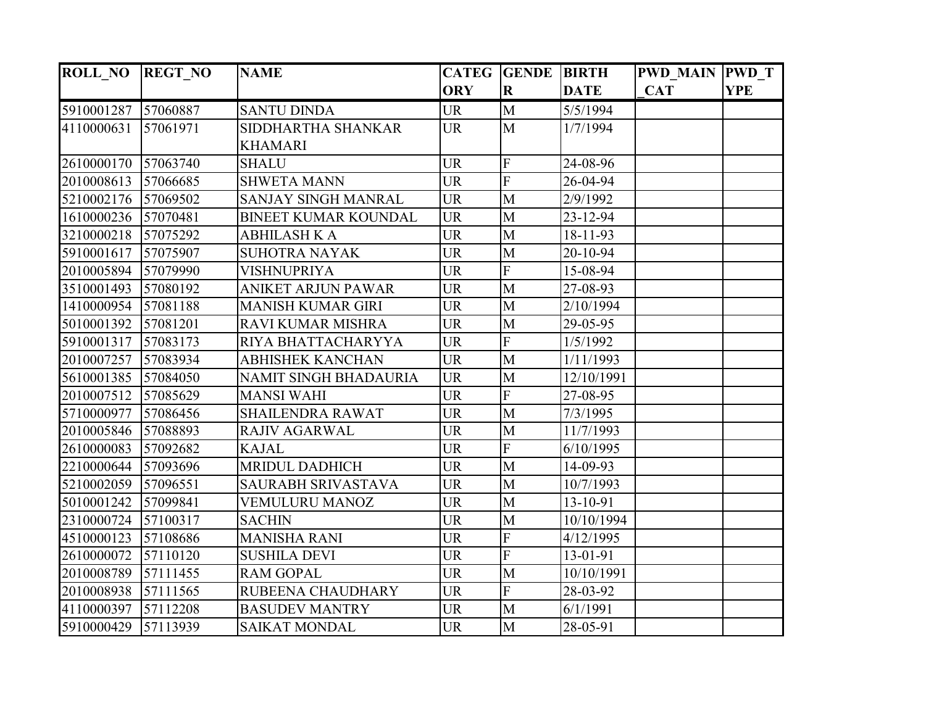| <b>ROLL_NO</b> | <b>REGT NO</b> | <b>NAME</b>                  |            | <b>CATEG GENDE BIRTH</b> |             | <b>PWD MAIN PWD T</b> |            |
|----------------|----------------|------------------------------|------------|--------------------------|-------------|-----------------------|------------|
|                |                |                              | <b>ORY</b> | $\overline{\mathbf{R}}$  | <b>DATE</b> | <b>CAT</b>            | <b>YPE</b> |
| 5910001287     | 57060887       | <b>SANTU DINDA</b>           | <b>UR</b>  | M                        | 5/5/1994    |                       |            |
| 4110000631     | 57061971       | SIDDHARTHA SHANKAR           | <b>UR</b>  | $\mathbf{M}$             | 1/7/1994    |                       |            |
|                |                | <b>KHAMARI</b>               |            |                          |             |                       |            |
| 2610000170     | 57063740       | <b>SHALU</b>                 | <b>UR</b>  | $\mathbf F$              | 24-08-96    |                       |            |
| 2010008613     | 57066685       | <b>SHWETA MANN</b>           | <b>UR</b>  | F                        | 26-04-94    |                       |            |
| 5210002176     | 57069502       | SANJAY SINGH MANRAL          | <b>UR</b>  | M                        | 2/9/1992    |                       |            |
| 1610000236     | 57070481       | <b>BINEET KUMAR KOUNDAL</b>  | <b>UR</b>  | M                        | 23-12-94    |                       |            |
| 3210000218     | 57075292       | ABHILASH K A                 | <b>UR</b>  | M                        | 18-11-93    |                       |            |
| 5910001617     | 57075907       | <b>SUHOTRA NAYAK</b>         | <b>UR</b>  | M                        | 20-10-94    |                       |            |
| 2010005894     | 57079990       | VISHNUPRIYA                  | <b>UR</b>  | $\overline{F}$           | 15-08-94    |                       |            |
| 3510001493     | 57080192       | <b>ANIKET ARJUN PAWAR</b>    | <b>UR</b>  | $\mathbf{M}$             | 27-08-93    |                       |            |
| 1410000954     | 57081188       | <b>MANISH KUMAR GIRI</b>     | <b>UR</b>  | M                        | 2/10/1994   |                       |            |
| 5010001392     | 57081201       | RAVI KUMAR MISHRA            | <b>UR</b>  | M                        | 29-05-95    |                       |            |
| 5910001317     | 57083173       | RIYA BHATTACHARYYA           | <b>UR</b>  | $\mathbf F$              | 1/5/1992    |                       |            |
| 2010007257     | 57083934       | <b>ABHISHEK KANCHAN</b>      | <b>UR</b>  | M                        | 1/11/1993   |                       |            |
| 5610001385     | 57084050       | <b>NAMIT SINGH BHADAURIA</b> | <b>UR</b>  | $\mathbf{M}$             | 12/10/1991  |                       |            |
| 2010007512     | 57085629       | <b>MANSI WAHI</b>            | <b>UR</b>  | ${\bf F}$                | 27-08-95    |                       |            |
| 5710000977     | 57086456       | <b>SHAILENDRA RAWAT</b>      | <b>UR</b>  | M                        | 7/3/1995    |                       |            |
| 2010005846     | 57088893       | RAJIV AGARWAL                | <b>UR</b>  | $\mathbf{M}$             | 11/7/1993   |                       |            |
| 2610000083     | 57092682       | <b>KAJAL</b>                 | <b>UR</b>  | $\overline{F}$           | 6/10/1995   |                       |            |
| 2210000644     | 57093696       | <b>MRIDUL DADHICH</b>        | <b>UR</b>  | M                        | 14-09-93    |                       |            |
| 5210002059     | 57096551       | SAURABH SRIVASTAVA           | <b>UR</b>  | M                        | 10/7/1993   |                       |            |
| 5010001242     | 57099841       | <b>VEMULURU MANOZ</b>        | <b>UR</b>  | M                        | 13-10-91    |                       |            |
| 2310000724     | 57100317       | <b>SACHIN</b>                | <b>UR</b>  | M                        | 10/10/1994  |                       |            |
| 4510000123     | 57108686       | <b>MANISHA RANI</b>          | <b>UR</b>  | $\overline{F}$           | 4/12/1995   |                       |            |
| 2610000072     | 57110120       | <b>SUSHILA DEVI</b>          | <b>UR</b>  | $\overline{F}$           | 13-01-91    |                       |            |
| 2010008789     | 57111455       | <b>RAM GOPAL</b>             | <b>UR</b>  | M                        | 10/10/1991  |                       |            |
| 2010008938     | 57111565       | RUBEENA CHAUDHARY            | <b>UR</b>  | $\mathbf F$              | 28-03-92    |                       |            |
| 4110000397     | 57112208       | <b>BASUDEV MANTRY</b>        | <b>UR</b>  | M                        | 6/1/1991    |                       |            |
| 5910000429     | 57113939       | <b>SAIKAT MONDAL</b>         | <b>UR</b>  | M                        | 28-05-91    |                       |            |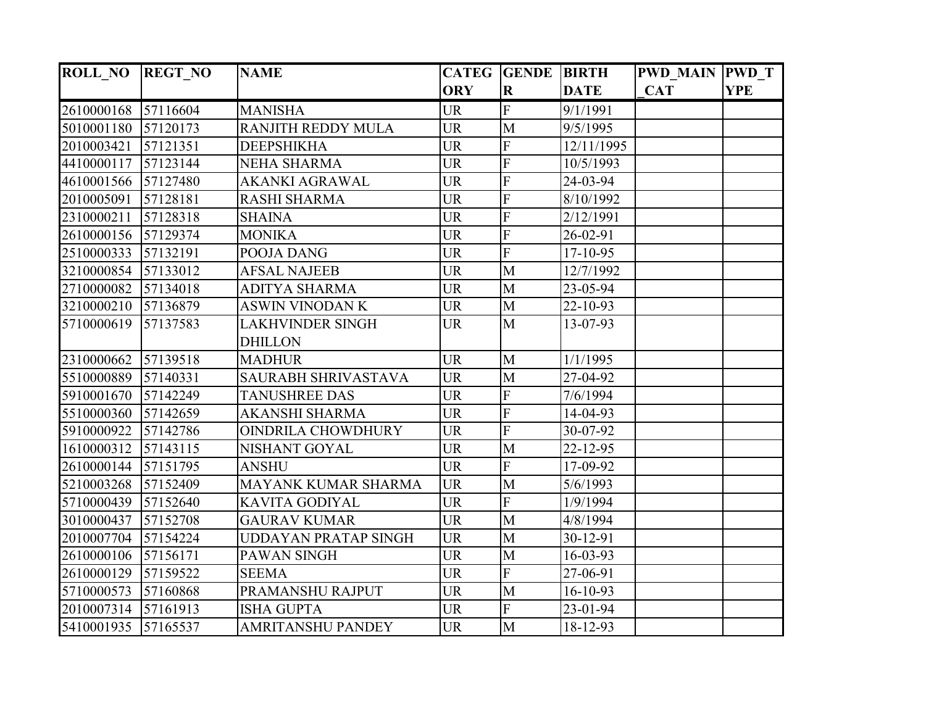| <b>ROLL_NO</b> | <b>REGT NO</b> | <b>NAME</b>               |            | <b>CATEG GENDE BIRTH</b> |                | <b>PWD MAIN PWD T</b> |            |
|----------------|----------------|---------------------------|------------|--------------------------|----------------|-----------------------|------------|
|                |                |                           | <b>ORY</b> | $\overline{\mathbf{R}}$  | <b>DATE</b>    | <b>CAT</b>            | <b>YPE</b> |
| 2610000168     | 57116604       | <b>MANISHA</b>            | <b>UR</b>  | $\mathbf F$              | 9/1/1991       |                       |            |
| 5010001180     | 57120173       | RANJITH REDDY MULA        | <b>UR</b>  | $\mathbf{M}$             | 9/5/1995       |                       |            |
| 2010003421     | 57121351       | <b>DEEPSHIKHA</b>         | <b>UR</b>  | $\overline{F}$           | 12/11/1995     |                       |            |
| 4410000117     | 57123144       | <b>NEHA SHARMA</b>        | <b>UR</b>  | $\overline{F}$           | 10/5/1993      |                       |            |
| 4610001566     | 57127480       | AKANKI AGRAWAL            | <b>UR</b>  | $\overline{F}$           | 24-03-94       |                       |            |
| 2010005091     | 57128181       | <b>RASHI SHARMA</b>       | <b>UR</b>  | F                        | 8/10/1992      |                       |            |
| 2310000211     | 57128318       | <b>SHAINA</b>             | <b>UR</b>  | F                        | 2/12/1991      |                       |            |
| 2610000156     | 57129374       | <b>MONIKA</b>             | <b>UR</b>  | $\overline{F}$           | 26-02-91       |                       |            |
| 2510000333     | 57132191       | POOJA DANG                | <b>UR</b>  | $\overline{\mathrm{F}}$  | 17-10-95       |                       |            |
| 3210000854     | 57133012       | <b>AFSAL NAJEEB</b>       | <b>UR</b>  | M                        | 12/7/1992      |                       |            |
| 2710000082     | 57134018       | <b>ADITYA SHARMA</b>      | <b>UR</b>  | M                        | 23-05-94       |                       |            |
| 3210000210     | 57136879       | <b>ASWIN VINODAN K</b>    | <b>UR</b>  | M                        | 22-10-93       |                       |            |
| 5710000619     | 57137583       | <b>LAKHVINDER SINGH</b>   | <b>UR</b>  | M                        | 13-07-93       |                       |            |
|                |                | <b>DHILLON</b>            |            |                          |                |                       |            |
| 2310000662     | 57139518       | <b>MADHUR</b>             | <b>UR</b>  | M                        | 1/1/1995       |                       |            |
| 5510000889     | 57140331       | SAURABH SHRIVASTAVA       | <b>UR</b>  | $\overline{M}$           | 27-04-92       |                       |            |
| 5910001670     | 57142249       | <b>TANUSHREE DAS</b>      | <b>UR</b>  | ${\bf F}$                | 7/6/1994       |                       |            |
| 5510000360     | 57142659       | <b>AKANSHI SHARMA</b>     | <b>UR</b>  | $\overline{F}$           | 14-04-93       |                       |            |
| 5910000922     | 57142786       | <b>OINDRILA CHOWDHURY</b> | <b>UR</b>  | $\overline{F}$           | 30-07-92       |                       |            |
| 1610000312     | 57143115       | NISHANT GOYAL             | <b>UR</b>  | M                        | 22-12-95       |                       |            |
| 2610000144     | 57151795       | <b>ANSHU</b>              | <b>UR</b>  | $\mathbf F$              | 17-09-92       |                       |            |
| 5210003268     | 57152409       | MAYANK KUMAR SHARMA       | <b>UR</b>  | M                        | 5/6/1993       |                       |            |
| 5710000439     | 57152640       | <b>KAVITA GODIYAL</b>     | <b>UR</b>  | F                        | 1/9/1994       |                       |            |
| 3010000437     | 57152708       | <b>GAURAV KUMAR</b>       | <b>UR</b>  | M                        | 4/8/1994       |                       |            |
| 2010007704     | 57154224       | UDDAYAN PRATAP SINGH      | <b>UR</b>  | M                        | 30-12-91       |                       |            |
| 2610000106     | 57156171       | PAWAN SINGH               | <b>UR</b>  | M                        | $16 - 03 - 93$ |                       |            |
| 2610000129     | 57159522       | <b>SEEMA</b>              | <b>UR</b>  | $\overline{F}$           | 27-06-91       |                       |            |
| 5710000573     | 57160868       | PRAMANSHU RAJPUT          | <b>UR</b>  | $\mathbf{M}$             | 16-10-93       |                       |            |
| 2010007314     | 57161913       | <b>ISHA GUPTA</b>         | <b>UR</b>  | $\overline{F}$           | 23-01-94       |                       |            |
| 5410001935     | 57165537       | <b>AMRITANSHU PANDEY</b>  | <b>UR</b>  | M                        | 18-12-93       |                       |            |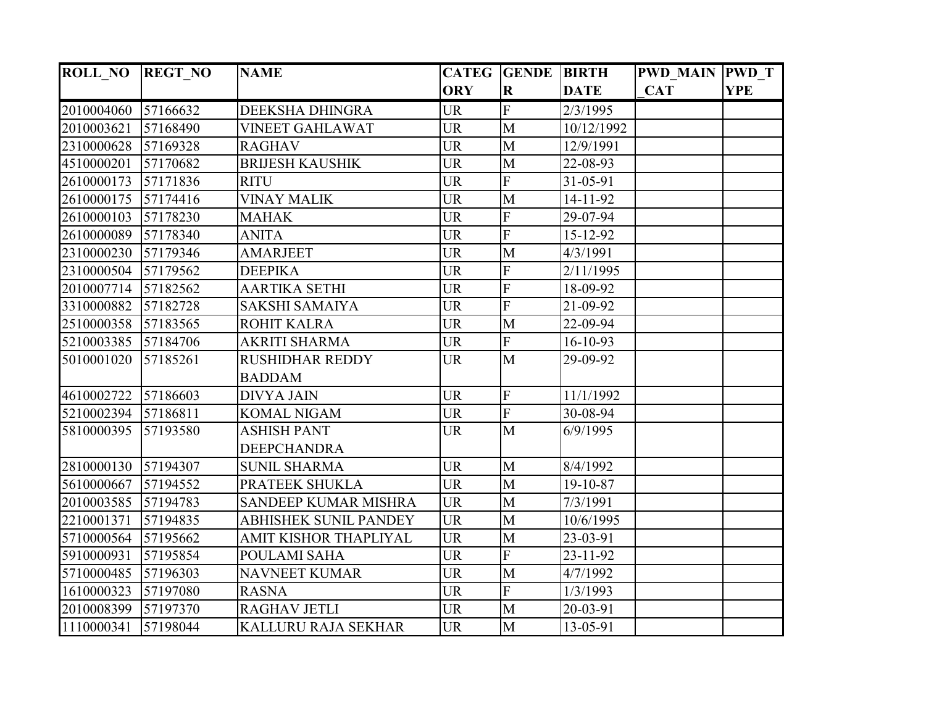| <b>ROLL_NO</b> | <b>REGT NO</b> | <b>NAME</b>                  |            | <b>CATEG GENDE BIRTH</b> |             | <b>PWD MAIN PWD T</b> |            |
|----------------|----------------|------------------------------|------------|--------------------------|-------------|-----------------------|------------|
|                |                |                              | <b>ORY</b> | $\overline{\mathbf{R}}$  | <b>DATE</b> | <b>CAT</b>            | <b>YPE</b> |
| 2010004060     | 57166632       | DEEKSHA DHINGRA              | <b>UR</b>  | $\mathbf F$              | 2/3/1995    |                       |            |
| 2010003621     | 57168490       | <b>VINEET GAHLAWAT</b>       | <b>UR</b>  | $\mathbf{M}$             | 10/12/1992  |                       |            |
| 2310000628     | 57169328       | <b>RAGHAV</b>                | <b>UR</b>  | M                        | 12/9/1991   |                       |            |
| 4510000201     | 57170682       | <b>BRIJESH KAUSHIK</b>       | <b>UR</b>  | $\mathbf M$              | 22-08-93    |                       |            |
| 2610000173     | 57171836       | <b>RITU</b>                  | <b>UR</b>  | $\overline{F}$           | 31-05-91    |                       |            |
| 2610000175     | 57174416       | <b>VINAY MALIK</b>           | <b>UR</b>  | M                        | 14-11-92    |                       |            |
| 2610000103     | 57178230       | <b>MAHAK</b>                 | <b>UR</b>  | $\overline{F}$           | 29-07-94    |                       |            |
| 2610000089     | 57178340       | <b>ANITA</b>                 | <b>UR</b>  | F                        | 15-12-92    |                       |            |
| 2310000230     | 57179346       | <b>AMARJEET</b>              | <b>UR</b>  | M                        | 4/3/1991    |                       |            |
| 2310000504     | 57179562       | <b>DEEPIKA</b>               | <b>UR</b>  | F                        | 2/11/1995   |                       |            |
| 2010007714     | 57182562       | <b>AARTIKA SETHI</b>         | <b>UR</b>  | F                        | 18-09-92    |                       |            |
| 3310000882     | 57182728       | <b>SAKSHI SAMAIYA</b>        | <b>UR</b>  | $\overline{F}$           | 21-09-92    |                       |            |
| 2510000358     | 57183565       | <b>ROHIT KALRA</b>           | <b>UR</b>  | M                        | 22-09-94    |                       |            |
| 5210003385     | 57184706       | <b>AKRITI SHARMA</b>         | <b>UR</b>  | $\overline{F}$           | 16-10-93    |                       |            |
| 5010001020     | 57185261       | <b>RUSHIDHAR REDDY</b>       | <b>UR</b>  | $\mathbf{M}$             | 29-09-92    |                       |            |
|                |                | <b>BADDAM</b>                |            |                          |             |                       |            |
| 4610002722     | 57186603       | <b>DIVYA JAIN</b>            | <b>UR</b>  | ${\bf F}$                | 11/1/1992   |                       |            |
| 5210002394     | 57186811       | <b>KOMAL NIGAM</b>           | <b>UR</b>  | F                        | 30-08-94    |                       |            |
| 5810000395     | 57193580       | <b>ASHISH PANT</b>           | <b>UR</b>  | $\overline{M}$           | 6/9/1995    |                       |            |
|                |                | <b>DEEPCHANDRA</b>           |            |                          |             |                       |            |
| 2810000130     | 57194307       | <b>SUNIL SHARMA</b>          | <b>UR</b>  | M                        | 8/4/1992    |                       |            |
| 5610000667     | 57194552       | PRATEEK SHUKLA               | <b>UR</b>  | $\mathbf{M}$             | 19-10-87    |                       |            |
| 2010003585     | 57194783       | <b>SANDEEP KUMAR MISHRA</b>  | <b>UR</b>  | M                        | 7/3/1991    |                       |            |
| 2210001371     | 57194835       | <b>ABHISHEK SUNIL PANDEY</b> | <b>UR</b>  | M                        | 10/6/1995   |                       |            |
| 5710000564     | 57195662       | AMIT KISHOR THAPLIYAL        | <b>UR</b>  | M                        | 23-03-91    |                       |            |
| 5910000931     | 57195854       | <b>POULAMI SAHA</b>          | <b>UR</b>  | $\overline{F}$           | 23-11-92    |                       |            |
| 5710000485     | 57196303       | <b>NAVNEET KUMAR</b>         | <b>UR</b>  | M                        | 4/7/1992    |                       |            |
| 1610000323     | 57197080       | <b>RASNA</b>                 | <b>UR</b>  | $\overline{F}$           | 1/3/1993    |                       |            |
| 2010008399     | 57197370       | <b>RAGHAV JETLI</b>          | <b>UR</b>  | M                        | 20-03-91    |                       |            |
| 1110000341     | 57198044       | KALLURU RAJA SEKHAR          | <b>UR</b>  | M                        | 13-05-91    |                       |            |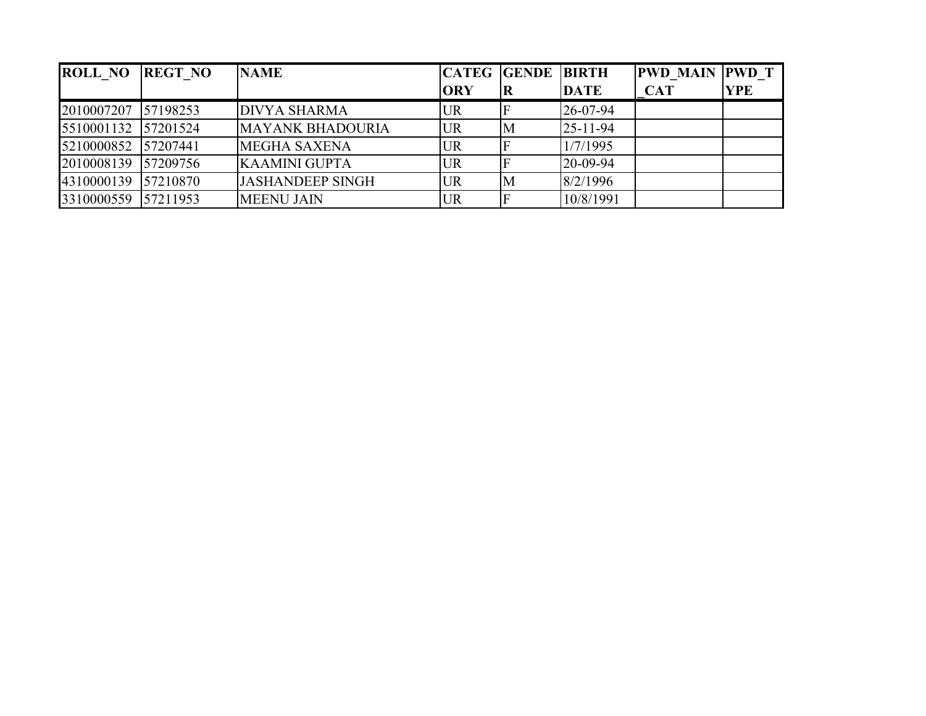| <b>ROLL NO</b>      | <b>REGT NO</b> | <b>NAME</b>             | <b>CATEG GENDE BIRTH</b> |                         |                | <b>PWD MAIN PWD T</b> |            |
|---------------------|----------------|-------------------------|--------------------------|-------------------------|----------------|-----------------------|------------|
|                     |                |                         | <b>ORY</b>               | $\overline{\mathbf{R}}$ | <b>DATE</b>    | <b>CAT</b>            | <b>YPE</b> |
| 2010007207          | 57198253       | <b>DIVYA SHARMA</b>     | <b>UR</b>                |                         | 26-07-94       |                       |            |
| 5510001132 57201524 |                | <b>MAYANK BHADOURIA</b> | <b>UR</b>                | M                       | $25 - 11 - 94$ |                       |            |
| 5210000852 57207441 |                | <b>MEGHA SAXENA</b>     | <b>UR</b>                |                         | 1/7/1995       |                       |            |
| 2010008139 57209756 |                | <b>KAAMINI GUPTA</b>    | <b>UR</b>                |                         | 20-09-94       |                       |            |
| 4310000139 57210870 |                | <b>JASHANDEEP SINGH</b> | <b>UR</b>                | M                       | 8/2/1996       |                       |            |
| 3310000559 57211953 |                | <b>MEENU JAIN</b>       | <b>UR</b>                |                         | 10/8/1991      |                       |            |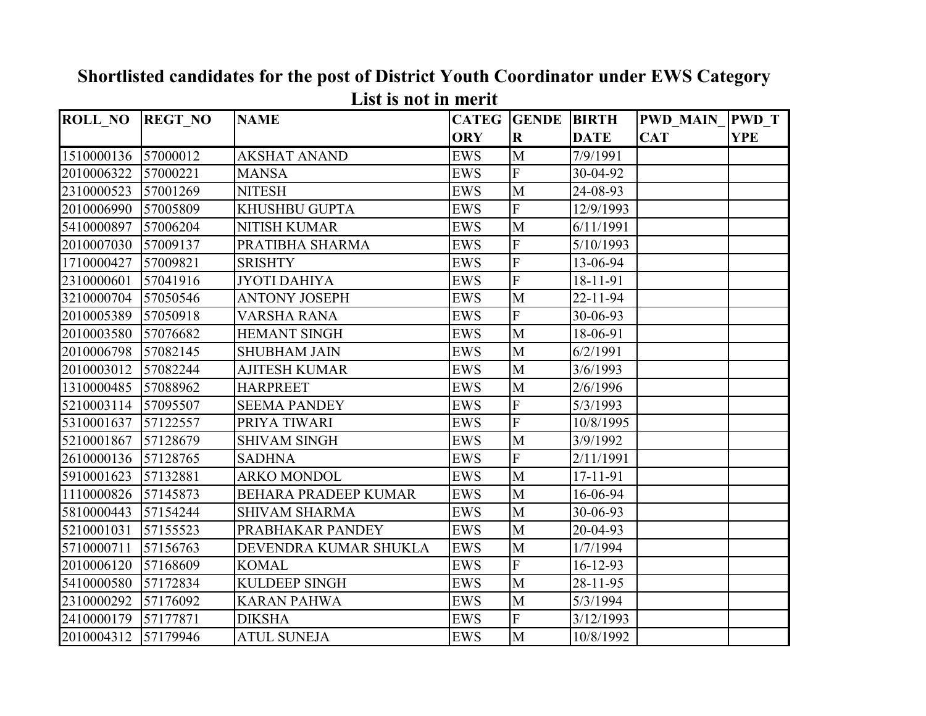| <b>ROLL_NO</b> | <b>REGT NO</b> | <b>NAME</b>                 |            | <b>CATEG</b> GENDE | <b>BIRTH</b>   | <b>PWD MAIN</b> | <b>PWD</b> T |
|----------------|----------------|-----------------------------|------------|--------------------|----------------|-----------------|--------------|
|                |                |                             | <b>ORY</b> | $\mathbf R$        | <b>DATE</b>    | <b>CAT</b>      | <b>YPE</b>   |
| 1510000136     | 57000012       | <b>AKSHAT ANAND</b>         | <b>EWS</b> | M                  | 7/9/1991       |                 |              |
| 2010006322     | 57000221       | <b>MANSA</b>                | <b>EWS</b> | $\overline{F}$     | 30-04-92       |                 |              |
| 2310000523     | 57001269       | <b>NITESH</b>               | <b>EWS</b> | M                  | 24-08-93       |                 |              |
| 2010006990     | 57005809       | <b>KHUSHBU GUPTA</b>        | <b>EWS</b> | $\overline{F}$     | 12/9/1993      |                 |              |
| 5410000897     | 57006204       | <b>NITISH KUMAR</b>         | <b>EWS</b> | M                  | 6/11/1991      |                 |              |
| 2010007030     | 57009137       | PRATIBHA SHARMA             | <b>EWS</b> | F                  | 5/10/1993      |                 |              |
| 1710000427     | 57009821       | <b>SRISHTY</b>              | <b>EWS</b> | $\overline{F}$     | 13-06-94       |                 |              |
| 2310000601     | 57041916       | <b>JYOTI DAHIYA</b>         | <b>EWS</b> | $\overline{F}$     | 18-11-91       |                 |              |
| 3210000704     | 57050546       | <b>ANTONY JOSEPH</b>        | <b>EWS</b> | M                  | $22 - 11 - 94$ |                 |              |
| 2010005389     | 57050918       | <b>VARSHA RANA</b>          | <b>EWS</b> | F                  | 30-06-93       |                 |              |
| 2010003580     | 57076682       | <b>HEMANT SINGH</b>         | <b>EWS</b> | M                  | 18-06-91       |                 |              |
| 2010006798     | 57082145       | <b>SHUBHAM JAIN</b>         | <b>EWS</b> | M                  | 6/2/1991       |                 |              |
| 2010003012     | 57082244       | <b>AJITESH KUMAR</b>        | <b>EWS</b> | M                  | 3/6/1993       |                 |              |
| 1310000485     | 57088962       | <b>HARPREET</b>             | <b>EWS</b> | M                  | 2/6/1996       |                 |              |
| 5210003114     | 57095507       | <b>SEEMA PANDEY</b>         | <b>EWS</b> | $\overline{F}$     | 5/3/1993       |                 |              |
| 5310001637     | 57122557       | PRIYA TIWARI                | <b>EWS</b> | $\overline{F}$     | 10/8/1995      |                 |              |
| 5210001867     | 57128679       | <b>SHIVAM SINGH</b>         | <b>EWS</b> | M                  | 3/9/1992       |                 |              |
| 2610000136     | 57128765       | <b>SADHNA</b>               | <b>EWS</b> | $\overline{F}$     | 2/11/1991      |                 |              |
| 5910001623     | 57132881       | <b>ARKO MONDOL</b>          | <b>EWS</b> | M                  | 17-11-91       |                 |              |
| 1110000826     | 57145873       | <b>BEHARA PRADEEP KUMAR</b> | <b>EWS</b> | M                  | 16-06-94       |                 |              |
| 5810000443     | 57154244       | <b>SHIVAM SHARMA</b>        | <b>EWS</b> | M                  | 30-06-93       |                 |              |
| 5210001031     | 57155523       | PRABHAKAR PANDEY            | <b>EWS</b> | M                  | 20-04-93       |                 |              |
| 5710000711     | 57156763       | DEVENDRA KUMAR SHUKLA       | <b>EWS</b> | M                  | 1/7/1994       |                 |              |
| 2010006120     | 57168609       | <b>KOMAL</b>                | <b>EWS</b> | $\mathbf F$        | $16 - 12 - 93$ |                 |              |
| 5410000580     | 57172834       | <b>KULDEEP SINGH</b>        | <b>EWS</b> | M                  | $28 - 11 - 95$ |                 |              |
| 2310000292     | 57176092       | <b>KARAN PAHWA</b>          | <b>EWS</b> | M                  | 5/3/1994       |                 |              |
| 2410000179     | 57177871       | <b>DIKSHA</b>               | <b>EWS</b> | $\mathbf F$        | 3/12/1993      |                 |              |
| 2010004312     | 57179946       | <b>ATUL SUNEJA</b>          | <b>EWS</b> | M                  | 10/8/1992      |                 |              |

## **Shortlisted candidates for the post of District Youth Coordinator under EWS Category List is not in merit**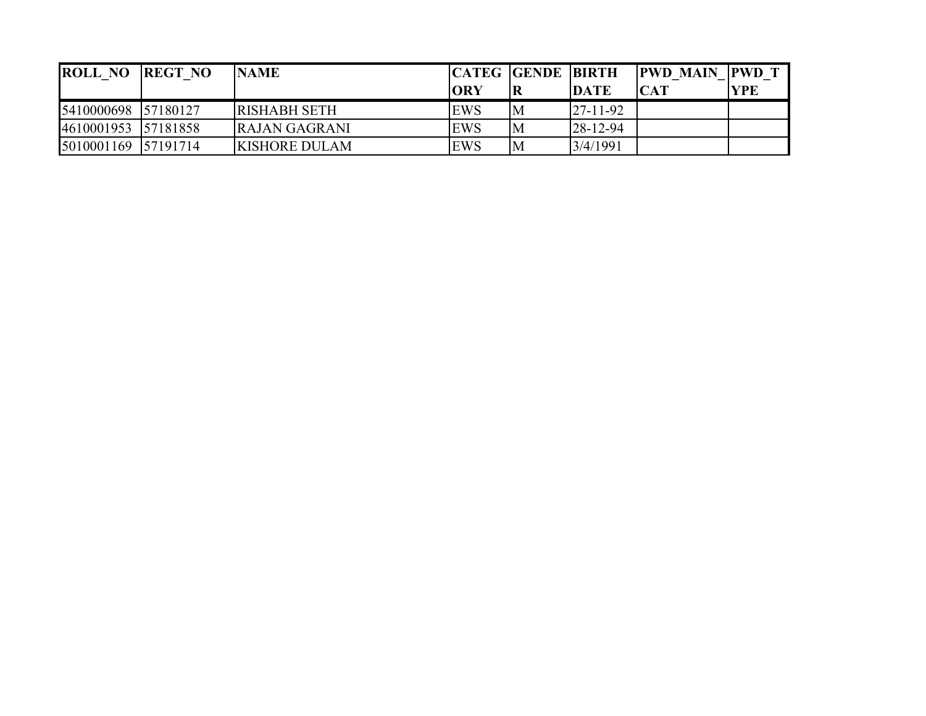| <b>ROLL NO</b>      | <b>REGT NO</b> | <b>NAME</b>          |            | <b>CATEG GENDE BIRTH</b> |                | <b>PWD MAIN PWD T</b> |            |
|---------------------|----------------|----------------------|------------|--------------------------|----------------|-----------------------|------------|
|                     |                |                      | <b>ORY</b> |                          | <b>DATE</b>    | CAT                   | <b>YPE</b> |
| 5410000698 57180127 |                | <b>RISHABH SETH</b>  | EWS        | M                        | $27 - 11 - 92$ |                       |            |
| 4610001953 57181858 |                | RAJAN GAGRANI        | EWS        | ΙM                       | $28 - 12 - 94$ |                       |            |
|                     |                | <b>KISHORE DULAM</b> | EWS        | M                        | 3/4/1991       |                       |            |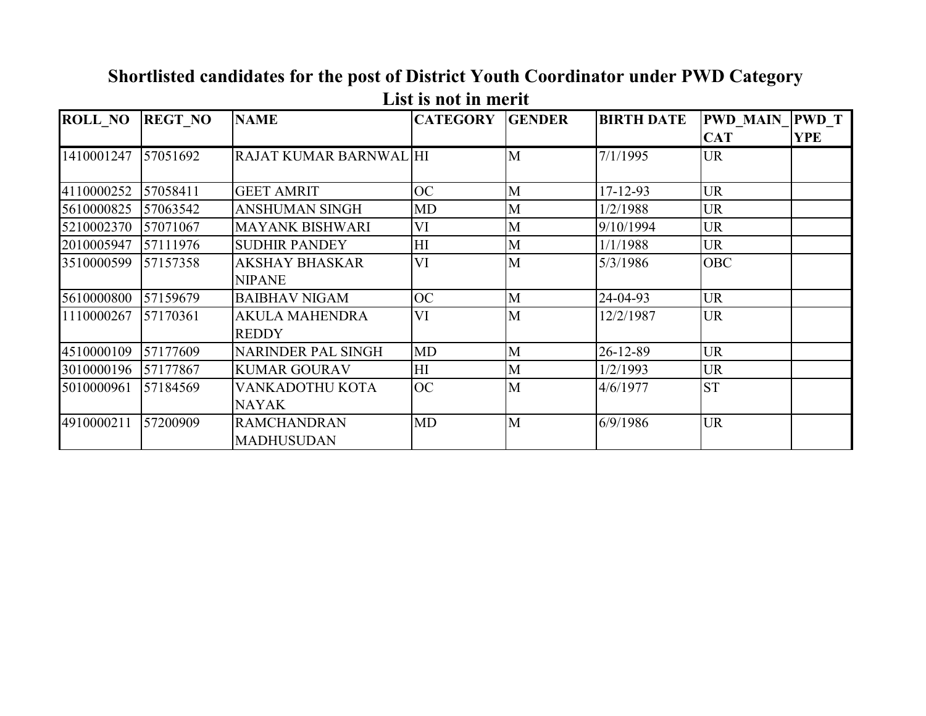| <b>ROLL_NO</b> | <b>REGT NO</b> | <b>NAME</b>                             | <b>CATEGORY</b> | <b>GENDER</b> | <b>BIRTH DATE</b> | <b>PWD MAIN PWD T</b> |            |
|----------------|----------------|-----------------------------------------|-----------------|---------------|-------------------|-----------------------|------------|
|                |                |                                         |                 |               |                   | <b>CAT</b>            | <b>YPE</b> |
| 1410001247     | 57051692       | RAJAT KUMAR BARNWAL HI                  |                 | M             | 7/1/1995          | <b>UR</b>             |            |
| 4110000252     | 57058411       | <b>GEET AMRIT</b>                       | <b>OC</b>       | M             | $17 - 12 - 93$    | <b>UR</b>             |            |
| 5610000825     | 57063542       | <b>ANSHUMAN SINGH</b>                   | MD              | M             | 1/2/1988          | <b>UR</b>             |            |
| 5210002370     | 57071067       | <b>MAYANK BISHWARI</b>                  | VI              | M             | 9/10/1994         | <b>UR</b>             |            |
| 2010005947     | 57111976       | <b>SUDHIR PANDEY</b>                    | HI              | M             | 1/1/1988          | <b>UR</b>             |            |
| 3510000599     | 57157358       | <b>AKSHAY BHASKAR</b><br><b>NIPANE</b>  | VI              | M             | 5/3/1986          | <b>OBC</b>            |            |
| 5610000800     | 57159679       | <b>BAIBHAV NIGAM</b>                    | <b>OC</b>       | M             | 24-04-93          | <b>UR</b>             |            |
| 1110000267     | 57170361       | <b>AKULA MAHENDRA</b><br><b>REDDY</b>   | VI              | M             | 12/2/1987         | <b>UR</b>             |            |
| 4510000109     | 57177609       | <b>NARINDER PAL SINGH</b>               | <b>MD</b>       | M             | 26-12-89          | <b>UR</b>             |            |
| 3010000196     | 57177867       | <b>KUMAR GOURAV</b>                     | HI              | M             | 1/2/1993          | <b>UR</b>             |            |
| 5010000961     | 57184569       | VANKADOTHU KOTA<br><b>NAYAK</b>         | <b>OC</b>       | M             | 4/6/1977          | <b>ST</b>             |            |
| 4910000211     | 57200909       | <b>RAMCHANDRAN</b><br><b>MADHUSUDAN</b> | <b>MD</b>       | M             | 6/9/1986          | <b>UR</b>             |            |

## **Shortlisted candidates for the post of District Youth Coordinator under PWD Category List is not in merit**